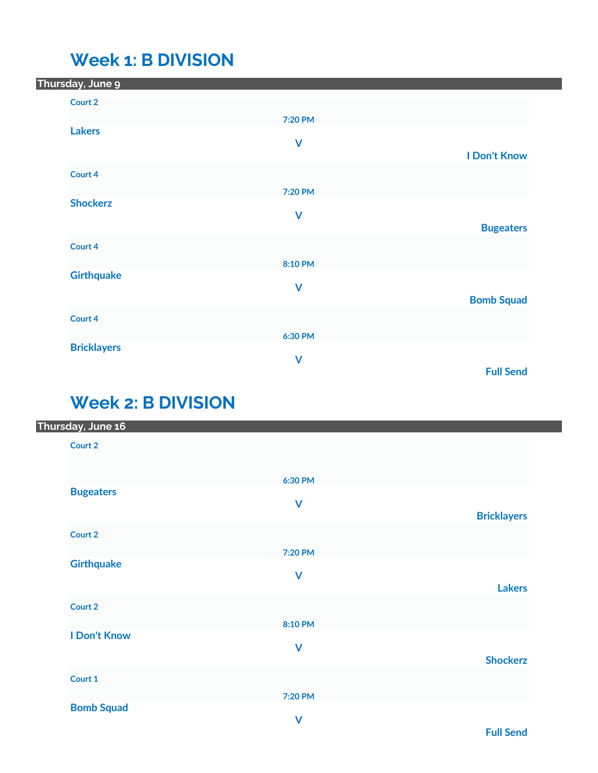### **Week 1: B DIVISION**

| Thursday, June 9   |              |                     |
|--------------------|--------------|---------------------|
| Court 2            |              |                     |
|                    | 7:20 PM      |                     |
| <b>Lakers</b>      |              |                     |
|                    | $\mathsf{V}$ | <b>I Don't Know</b> |
| Court 4            |              |                     |
|                    |              |                     |
| <b>Shockerz</b>    | 7:20 PM      |                     |
|                    | $\mathsf{V}$ |                     |
|                    |              | <b>Bugeaters</b>    |
| Court 4            |              |                     |
|                    | 8:10 PM      |                     |
| <b>Girthquake</b>  |              |                     |
|                    | $\mathsf{V}$ | <b>Bomb Squad</b>   |
|                    |              |                     |
| Court 4            |              |                     |
|                    | 6:30 PM      |                     |
| <b>Bricklayers</b> | $\mathsf{V}$ |                     |
|                    |              | <b>Full Send</b>    |

# **Week 2: B DIVISION**

| Thursday, June 16   |                         |                    |
|---------------------|-------------------------|--------------------|
| Court 2             |                         |                    |
|                     | 6:30 PM                 |                    |
| <b>Bugeaters</b>    | $\mathsf{V}$            | <b>Bricklayers</b> |
|                     |                         |                    |
| Court 2             |                         |                    |
| <b>Girthquake</b>   | 7:20 PM                 |                    |
|                     | $\mathsf{V}$            | <b>Lakers</b>      |
| Court 2             |                         |                    |
|                     | 8:10 PM                 |                    |
| <b>I Don't Know</b> |                         |                    |
|                     | $\overline{\mathsf{V}}$ | <b>Shockerz</b>    |
| Court 1             |                         |                    |
|                     | 7:20 PM                 |                    |
| <b>Bomb Squad</b>   | $\mathbf{M}$            |                    |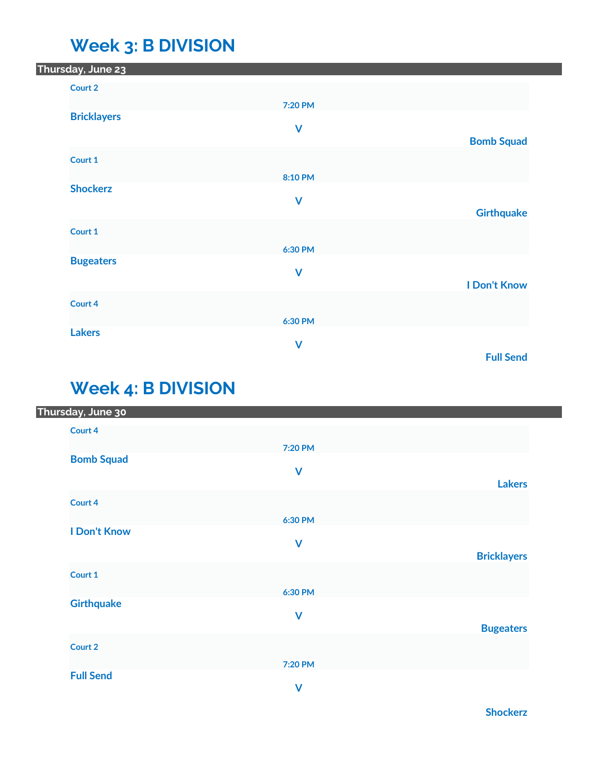### **Week 3: B DIVISION**

| 7:20 PM |                                                                      |
|---------|----------------------------------------------------------------------|
|         |                                                                      |
|         | <b>Bomb Squad</b>                                                    |
|         |                                                                      |
| 8:10 PM |                                                                      |
|         |                                                                      |
|         | <b>Girthquake</b>                                                    |
|         |                                                                      |
| 6:30 PM |                                                                      |
|         |                                                                      |
|         | <b>I Don't Know</b>                                                  |
|         |                                                                      |
|         |                                                                      |
|         |                                                                      |
|         | <b>Full Send</b>                                                     |
|         | $\mathbf v$<br>$\mathbf v$<br>$\mathbf v$<br>6:30 PM<br>$\mathsf{V}$ |

## **Week 4: B DIVISION**

| Thursday, June 30   |              |                    |
|---------------------|--------------|--------------------|
| Court 4             |              |                    |
|                     | 7:20 PM      |                    |
| <b>Bomb Squad</b>   |              |                    |
|                     | $\mathsf{V}$ |                    |
|                     |              | <b>Lakers</b>      |
| Court 4             |              |                    |
|                     | 6:30 PM      |                    |
| <b>I Don't Know</b> |              |                    |
|                     | $\mathsf{V}$ |                    |
|                     |              | <b>Bricklayers</b> |
| Court 1             |              |                    |
|                     | 6:30 PM      |                    |
| <b>Girthquake</b>   |              |                    |
|                     | $\mathsf{V}$ |                    |
|                     |              | <b>Bugeaters</b>   |
| Court 2             |              |                    |
|                     | 7:20 PM      |                    |
| <b>Full Send</b>    |              |                    |
|                     | $\mathsf{V}$ |                    |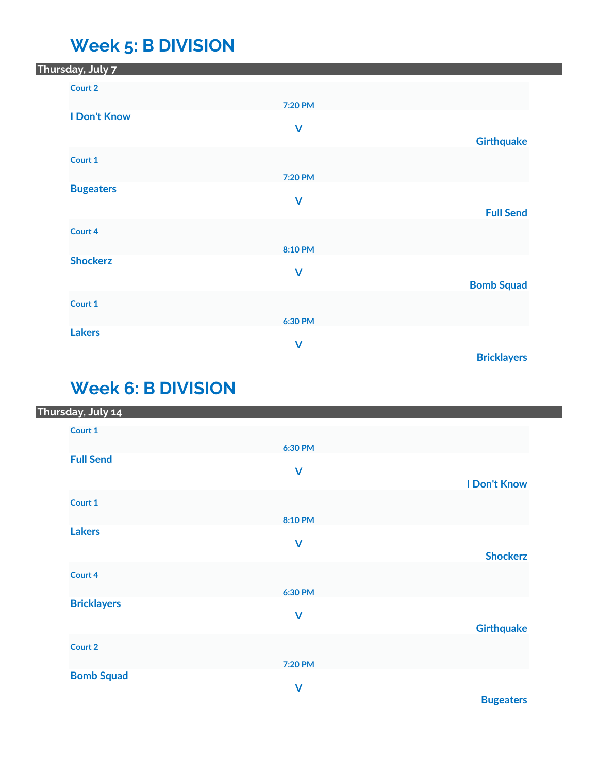### **Week 5: B DIVISION**

| 7:20 PM |                                                          |
|---------|----------------------------------------------------------|
|         |                                                          |
|         | <b>Girthquake</b>                                        |
|         |                                                          |
| 7:20 PM |                                                          |
|         |                                                          |
|         | <b>Full Send</b>                                         |
|         |                                                          |
| 8:10 PM |                                                          |
|         |                                                          |
|         | <b>Bomb Squad</b>                                        |
|         |                                                          |
| 6:30 PM |                                                          |
|         |                                                          |
|         | <b>Bricklayers</b>                                       |
|         | $\mathbf V$<br>$\mathbf V$<br>$\mathbf V$<br>$\mathbf v$ |

## **Week 6: B DIVISION**

| Thursday, July 14  |              |                     |
|--------------------|--------------|---------------------|
| Court 1            |              |                     |
|                    | 6:30 PM      |                     |
| <b>Full Send</b>   |              |                     |
|                    | $\mathbf v$  | <b>I Don't Know</b> |
| Court 1            |              |                     |
|                    |              |                     |
| <b>Lakers</b>      | 8:10 PM      |                     |
|                    | $\mathbf v$  |                     |
|                    |              | <b>Shockerz</b>     |
| Court 4            |              |                     |
|                    | 6:30 PM      |                     |
| <b>Bricklayers</b> | $\mathsf{V}$ |                     |
|                    |              | <b>Girthquake</b>   |
| Court 2            |              |                     |
|                    | 7:20 PM      |                     |
| <b>Bomb Squad</b>  |              |                     |
|                    | $\mathsf{V}$ |                     |

**Bugeaters**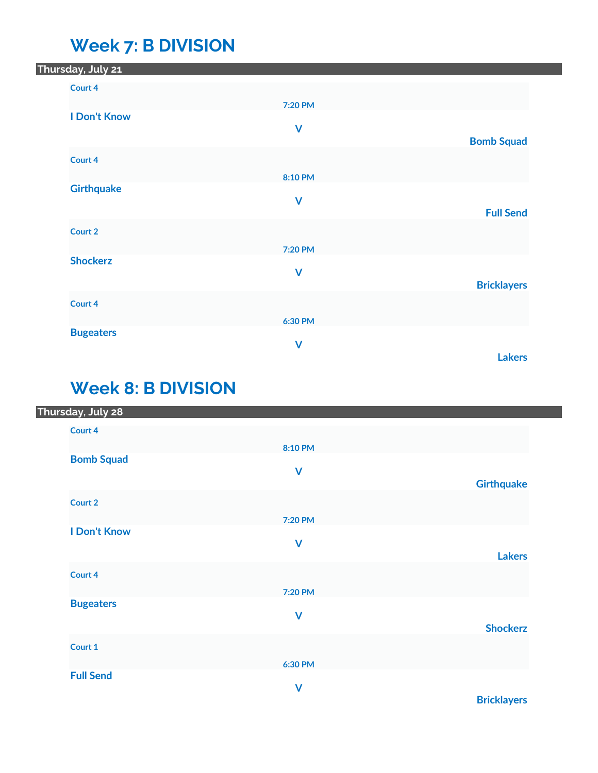### **Week 7: B DIVISION**

| Thursday, July 2 <mark>1</mark> |                         |                    |
|---------------------------------|-------------------------|--------------------|
| Court 4                         |                         |                    |
|                                 | 7:20 PM                 |                    |
| <b>I Don't Know</b>             | $\mathsf{V}$            |                    |
|                                 |                         | <b>Bomb Squad</b>  |
| Court 4                         |                         |                    |
|                                 | 8:10 PM                 |                    |
| <b>Girthquake</b>               |                         |                    |
|                                 | $\mathbf v$             | <b>Full Send</b>   |
| Court 2                         |                         |                    |
|                                 | 7:20 PM                 |                    |
| <b>Shockerz</b>                 |                         |                    |
|                                 | $\mathbf v$             | <b>Bricklayers</b> |
| Court 4                         |                         |                    |
|                                 | 6:30 PM                 |                    |
| <b>Bugeaters</b>                |                         |                    |
|                                 | $\overline{\mathsf{V}}$ |                    |
|                                 |                         | <b>Lakers</b>      |

## **Week 8: B DIVISION**

| Thursday, July 28   |                         |                   |
|---------------------|-------------------------|-------------------|
| Court 4             |                         |                   |
|                     | 8:10 PM                 |                   |
| <b>Bomb Squad</b>   |                         |                   |
|                     | $\mathsf{V}$            |                   |
|                     |                         | <b>Girthquake</b> |
| Court 2             |                         |                   |
|                     | 7:20 PM                 |                   |
| <b>I Don't Know</b> |                         |                   |
|                     | $\mathsf{V}$            |                   |
|                     |                         | <b>Lakers</b>     |
| Court 4             |                         |                   |
|                     | 7:20 PM                 |                   |
| <b>Bugeaters</b>    |                         |                   |
|                     | $\mathsf{V}$            |                   |
|                     |                         | <b>Shockerz</b>   |
| Court 1             |                         |                   |
|                     | 6:30 PM                 |                   |
| <b>Full Send</b>    |                         |                   |
|                     | $\overline{\mathsf{V}}$ |                   |

**Bricklayers**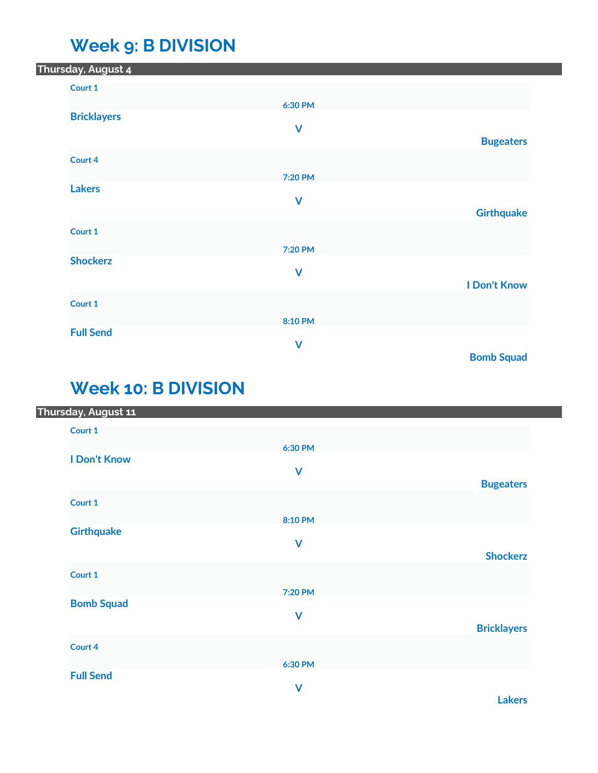## **Week 9: B DIVISION**

| Thursday, August 4 |              |                     |
|--------------------|--------------|---------------------|
| Court 1            |              |                     |
|                    | 6:30 PM      |                     |
| <b>Bricklayers</b> |              |                     |
|                    | $\mathsf{V}$ | <b>Bugeaters</b>    |
| Court 4            |              |                     |
|                    | 7:20 PM      |                     |
| <b>Lakers</b>      |              |                     |
|                    | $\mathsf{V}$ | <b>Girthquake</b>   |
|                    |              |                     |
| Court 1            |              |                     |
| <b>Shockerz</b>    | 7:20 PM      |                     |
|                    | $\mathsf{V}$ |                     |
|                    |              | <b>I Don't Know</b> |
| Court 1            |              |                     |
| <b>Full Send</b>   | 8:10 PM      |                     |
|                    | $\mathsf{V}$ |                     |
|                    |              | <b>Bomb Squad</b>   |

# **Week 10: B DIVISION**

|  | Thursday, August 11 |              |                    |
|--|---------------------|--------------|--------------------|
|  | Court 1             |              |                    |
|  |                     | 6:30 PM      |                    |
|  | <b>I Don't Know</b> |              |                    |
|  |                     | $\mathbf v$  |                    |
|  |                     |              | <b>Bugeaters</b>   |
|  | Court 1             |              |                    |
|  |                     | 8:10 PM      |                    |
|  | <b>Girthquake</b>   |              |                    |
|  |                     | $\mathsf{V}$ |                    |
|  |                     |              | <b>Shockerz</b>    |
|  | Court 1             |              |                    |
|  |                     | 7:20 PM      |                    |
|  | <b>Bomb Squad</b>   |              |                    |
|  |                     | $\mathsf{V}$ |                    |
|  |                     |              | <b>Bricklayers</b> |
|  | Court 4             |              |                    |
|  |                     |              |                    |
|  | <b>Full Send</b>    | 6:30 PM      |                    |
|  |                     | $\mathsf{V}$ |                    |
|  |                     |              |                    |

**Lakers**